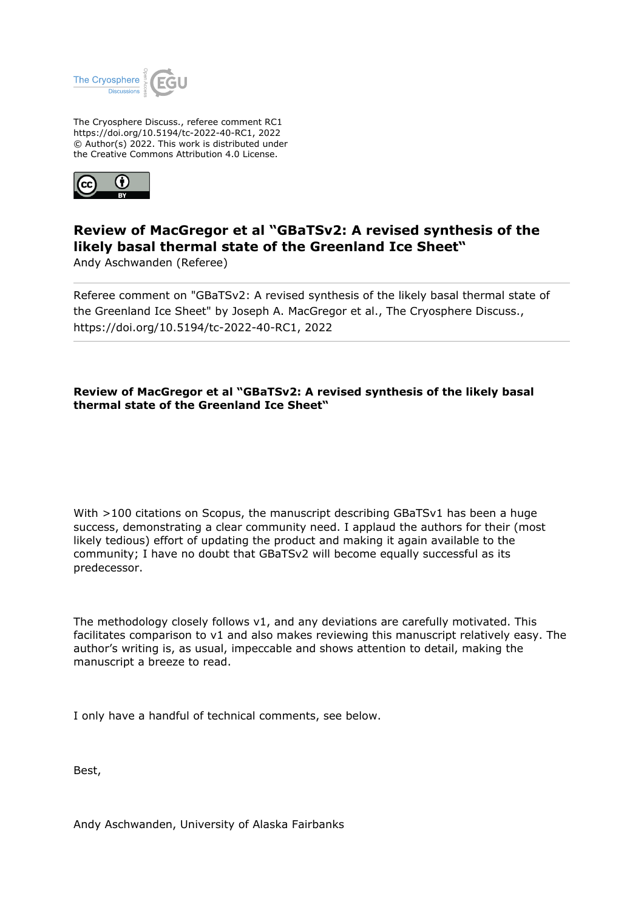

The Cryosphere Discuss., referee comment RC1 https://doi.org/10.5194/tc-2022-40-RC1, 2022 © Author(s) 2022. This work is distributed under the Creative Commons Attribution 4.0 License.



## **Review of MacGregor et al "GBaTSv2: A revised synthesis of the likely basal thermal state of the Greenland Ice Sheet"**

Andy Aschwanden (Referee)

Referee comment on "GBaTSv2: A revised synthesis of the likely basal thermal state of the Greenland Ice Sheet" by Joseph A. MacGregor et al., The Cryosphere Discuss., https://doi.org/10.5194/tc-2022-40-RC1, 2022

## **Review of MacGregor et al "GBaTSv2: A revised synthesis of the likely basal thermal state of the Greenland Ice Sheet"**

With >100 citations on Scopus, the manuscript describing GBaTSv1 has been a huge success, demonstrating a clear community need. I applaud the authors for their (most likely tedious) effort of updating the product and making it again available to the community; I have no doubt that GBaTSv2 will become equally successful as its predecessor.

The methodology closely follows v1, and any deviations are carefully motivated. This facilitates comparison to v1 and also makes reviewing this manuscript relatively easy. The author's writing is, as usual, impeccable and shows attention to detail, making the manuscript a breeze to read.

I only have a handful of technical comments, see below.

Best,

Andy Aschwanden, University of Alaska Fairbanks